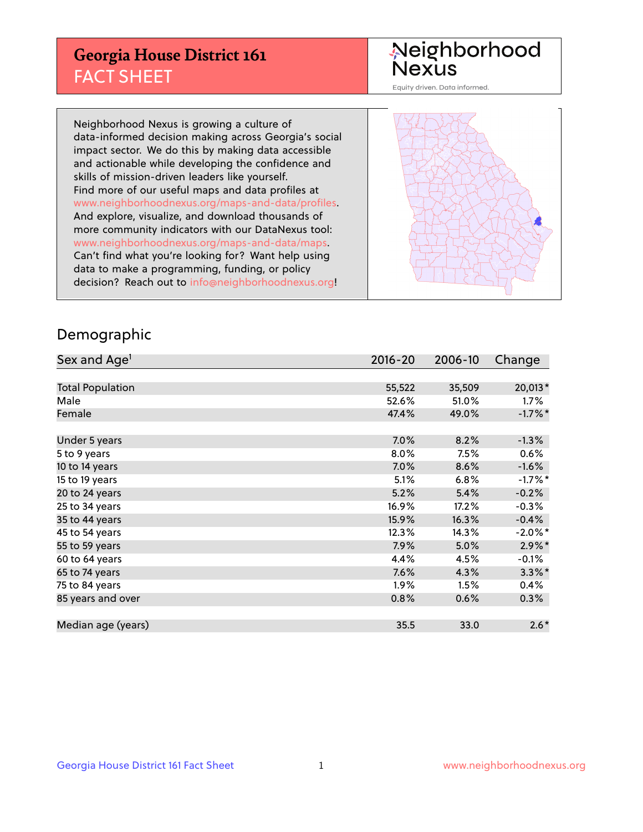## **Georgia House District 161** FACT SHEET

# Neighborhood<br>Nexus

Equity driven. Data informed.

Neighborhood Nexus is growing a culture of data-informed decision making across Georgia's social impact sector. We do this by making data accessible and actionable while developing the confidence and skills of mission-driven leaders like yourself. Find more of our useful maps and data profiles at www.neighborhoodnexus.org/maps-and-data/profiles. And explore, visualize, and download thousands of more community indicators with our DataNexus tool: www.neighborhoodnexus.org/maps-and-data/maps. Can't find what you're looking for? Want help using data to make a programming, funding, or policy decision? Reach out to [info@neighborhoodnexus.org!](mailto:info@neighborhoodnexus.org)



### Demographic

| Sex and Age <sup>1</sup> | $2016 - 20$ | 2006-10 | Change     |
|--------------------------|-------------|---------|------------|
|                          |             |         |            |
| <b>Total Population</b>  | 55,522      | 35,509  | 20,013*    |
| Male                     | 52.6%       | 51.0%   | $1.7\%$    |
| Female                   | 47.4%       | 49.0%   | $-1.7%$ *  |
|                          |             |         |            |
| Under 5 years            | 7.0%        | 8.2%    | $-1.3%$    |
| 5 to 9 years             | 8.0%        | 7.5%    | 0.6%       |
| 10 to 14 years           | 7.0%        | 8.6%    | $-1.6%$    |
| 15 to 19 years           | 5.1%        | 6.8%    | $-1.7%$ *  |
| 20 to 24 years           | 5.2%        | 5.4%    | $-0.2%$    |
| 25 to 34 years           | 16.9%       | 17.2%   | $-0.3%$    |
| 35 to 44 years           | 15.9%       | 16.3%   | $-0.4%$    |
| 45 to 54 years           | 12.3%       | 14.3%   | $-2.0\%$ * |
| 55 to 59 years           | 7.9%        | 5.0%    | $2.9\%$ *  |
| 60 to 64 years           | 4.4%        | 4.5%    | $-0.1%$    |
| 65 to 74 years           | 7.6%        | 4.3%    | $3.3\%$ *  |
| 75 to 84 years           | $1.9\%$     | 1.5%    | 0.4%       |
| 85 years and over        | 0.8%        | 0.6%    | 0.3%       |
|                          |             |         |            |
| Median age (years)       | 35.5        | 33.0    | $2.6*$     |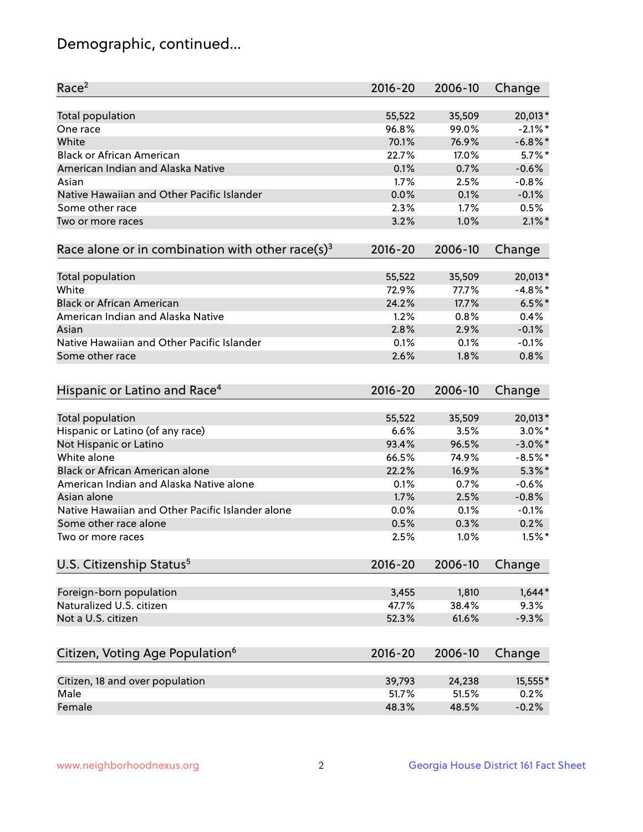## Demographic, continued...

| Race <sup>2</sup>                                            | $2016 - 20$ | 2006-10 | Change     |
|--------------------------------------------------------------|-------------|---------|------------|
| <b>Total population</b>                                      | 55,522      | 35,509  | 20,013*    |
| One race                                                     | 96.8%       | 99.0%   | $-2.1\%$ * |
| White                                                        | 70.1%       | 76.9%   | $-6.8\%$ * |
| <b>Black or African American</b>                             | 22.7%       | 17.0%   | $5.7\%$ *  |
| American Indian and Alaska Native                            | 0.1%        | 0.7%    | $-0.6%$    |
| Asian                                                        | 1.7%        | 2.5%    | $-0.8%$    |
| Native Hawaiian and Other Pacific Islander                   | 0.0%        | 0.1%    | $-0.1%$    |
| Some other race                                              | 2.3%        | 1.7%    | 0.5%       |
| Two or more races                                            | 3.2%        | 1.0%    | $2.1\%$ *  |
| Race alone or in combination with other race(s) <sup>3</sup> | $2016 - 20$ | 2006-10 | Change     |
|                                                              |             |         |            |
| Total population                                             | 55,522      | 35,509  | 20,013*    |
| White                                                        | 72.9%       | 77.7%   | $-4.8\%$ * |
| <b>Black or African American</b>                             | 24.2%       | 17.7%   | $6.5%$ *   |
| American Indian and Alaska Native                            | 1.2%        | 0.8%    | 0.4%       |
| Asian                                                        | 2.8%        | 2.9%    | $-0.1%$    |
| Native Hawaiian and Other Pacific Islander                   | 0.1%        | 0.1%    | $-0.1%$    |
| Some other race                                              | 2.6%        | 1.8%    | 0.8%       |
| Hispanic or Latino and Race <sup>4</sup>                     | $2016 - 20$ | 2006-10 | Change     |
|                                                              |             |         |            |
| <b>Total population</b>                                      | 55,522      | 35,509  | 20,013*    |
| Hispanic or Latino (of any race)                             | 6.6%        | 3.5%    | $3.0\%$ *  |
| Not Hispanic or Latino                                       | 93.4%       | 96.5%   | $-3.0\%$ * |
| White alone                                                  | 66.5%       | 74.9%   | $-8.5%$ *  |
| Black or African American alone                              | 22.2%       | 16.9%   | $5.3\%$ *  |
| American Indian and Alaska Native alone                      | 0.1%        | 0.7%    | $-0.6%$    |
| Asian alone                                                  | 1.7%        | 2.5%    | $-0.8%$    |
| Native Hawaiian and Other Pacific Islander alone             | 0.0%        | 0.1%    | $-0.1%$    |
| Some other race alone                                        | 0.5%        | 0.3%    | 0.2%       |
| Two or more races                                            | 2.5%        | 1.0%    | $1.5\%$ *  |
| U.S. Citizenship Status <sup>5</sup>                         | $2016 - 20$ | 2006-10 | Change     |
|                                                              |             |         |            |
| Foreign-born population                                      | 3,455       | 1,810   | $1,644*$   |
| Naturalized U.S. citizen                                     | 47.7%       | 38.4%   | 9.3%       |
| Not a U.S. citizen                                           | 52.3%       | 61.6%   | $-9.3%$    |
| Citizen, Voting Age Population <sup>6</sup>                  | $2016 - 20$ | 2006-10 | Change     |
| Citizen, 18 and over population                              | 39,793      | 24,238  | 15,555*    |
| Male                                                         | 51.7%       | 51.5%   | 0.2%       |
| Female                                                       | 48.3%       | 48.5%   | $-0.2%$    |
|                                                              |             |         |            |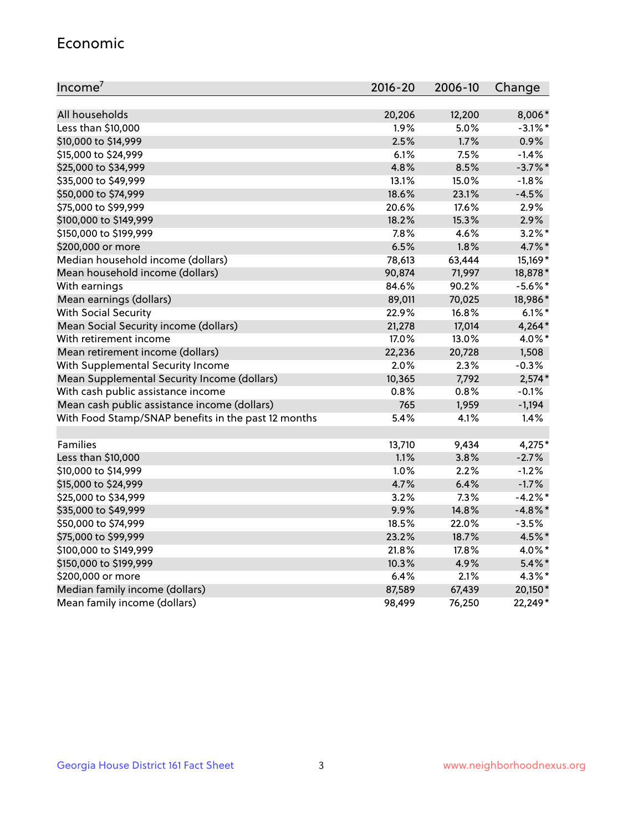#### Economic

| Income <sup>7</sup>                                 | $2016 - 20$ | 2006-10 | Change     |
|-----------------------------------------------------|-------------|---------|------------|
|                                                     |             |         |            |
| All households                                      | 20,206      | 12,200  | 8,006*     |
| Less than \$10,000                                  | 1.9%        | 5.0%    | $-3.1\%$ * |
| \$10,000 to \$14,999                                | 2.5%        | 1.7%    | 0.9%       |
| \$15,000 to \$24,999                                | 6.1%        | 7.5%    | $-1.4%$    |
| \$25,000 to \$34,999                                | 4.8%        | 8.5%    | $-3.7%$ *  |
| \$35,000 to \$49,999                                | 13.1%       | 15.0%   | $-1.8%$    |
| \$50,000 to \$74,999                                | 18.6%       | 23.1%   | $-4.5%$    |
| \$75,000 to \$99,999                                | 20.6%       | 17.6%   | 2.9%       |
| \$100,000 to \$149,999                              | 18.2%       | 15.3%   | 2.9%       |
| \$150,000 to \$199,999                              | 7.8%        | 4.6%    | $3.2\%$ *  |
| \$200,000 or more                                   | 6.5%        | 1.8%    | 4.7%*      |
| Median household income (dollars)                   | 78,613      | 63,444  | 15,169*    |
| Mean household income (dollars)                     | 90,874      | 71,997  | 18,878*    |
| With earnings                                       | 84.6%       | 90.2%   | $-5.6\%$ * |
| Mean earnings (dollars)                             | 89,011      | 70,025  | 18,986*    |
| <b>With Social Security</b>                         | 22.9%       | 16.8%   | $6.1\%$ *  |
| Mean Social Security income (dollars)               | 21,278      | 17,014  | $4,264*$   |
| With retirement income                              | 17.0%       | 13.0%   | 4.0%*      |
| Mean retirement income (dollars)                    | 22,236      | 20,728  | 1,508      |
| With Supplemental Security Income                   | 2.0%        | 2.3%    | $-0.3%$    |
| Mean Supplemental Security Income (dollars)         | 10,365      | 7,792   | $2,574*$   |
| With cash public assistance income                  | 0.8%        | 0.8%    | $-0.1%$    |
| Mean cash public assistance income (dollars)        | 765         | 1,959   | $-1,194$   |
| With Food Stamp/SNAP benefits in the past 12 months | 5.4%        | 4.1%    | 1.4%       |
|                                                     |             |         |            |
| Families                                            | 13,710      | 9,434   | 4,275*     |
| Less than \$10,000                                  | 1.1%        | 3.8%    | $-2.7%$    |
| \$10,000 to \$14,999                                | 1.0%        | 2.2%    | $-1.2%$    |
| \$15,000 to \$24,999                                | 4.7%        | 6.4%    | $-1.7%$    |
| \$25,000 to \$34,999                                | 3.2%        | 7.3%    | $-4.2%$ *  |
| \$35,000 to \$49,999                                | 9.9%        | 14.8%   | $-4.8\%$ * |
| \$50,000 to \$74,999                                | 18.5%       | 22.0%   | $-3.5%$    |
| \$75,000 to \$99,999                                | 23.2%       | 18.7%   | 4.5%*      |
| \$100,000 to \$149,999                              | 21.8%       | 17.8%   | 4.0%*      |
| \$150,000 to \$199,999                              | 10.3%       | 4.9%    | $5.4\%$ *  |
| \$200,000 or more                                   | 6.4%        | 2.1%    | 4.3%*      |
| Median family income (dollars)                      | 87,589      | 67,439  | 20,150*    |
| Mean family income (dollars)                        | 98,499      | 76,250  | 22,249*    |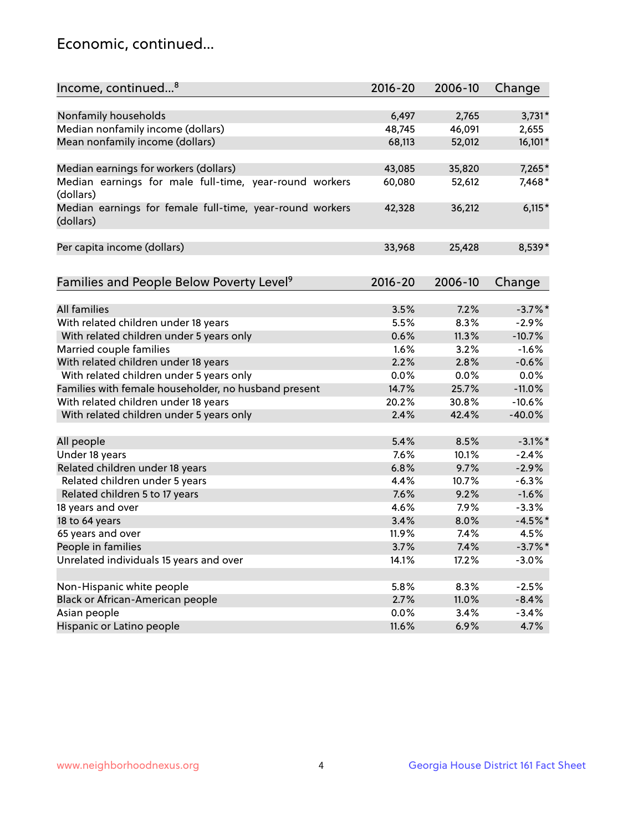## Economic, continued...

| Nonfamily households<br>6,497<br>2,765<br>$3,731*$<br>Median nonfamily income (dollars)<br>48,745<br>46,091<br>2,655<br>Mean nonfamily income (dollars)<br>16,101*<br>68,113<br>52,012<br>7,265*<br>Median earnings for workers (dollars)<br>43,085<br>35,820<br>Median earnings for male full-time, year-round workers<br>60,080<br>52,612<br>7,468*<br>(dollars)<br>$6,115*$<br>Median earnings for female full-time, year-round workers<br>42,328<br>36,212<br>(dollars)<br>Per capita income (dollars)<br>33,968<br>25,428<br>8,539*<br>Families and People Below Poverty Level <sup>9</sup><br>$2016 - 20$<br>2006-10<br>Change | Income, continued <sup>8</sup> | $2016 - 20$ | 2006-10 | Change |
|--------------------------------------------------------------------------------------------------------------------------------------------------------------------------------------------------------------------------------------------------------------------------------------------------------------------------------------------------------------------------------------------------------------------------------------------------------------------------------------------------------------------------------------------------------------------------------------------------------------------------------------|--------------------------------|-------------|---------|--------|
|                                                                                                                                                                                                                                                                                                                                                                                                                                                                                                                                                                                                                                      |                                |             |         |        |
|                                                                                                                                                                                                                                                                                                                                                                                                                                                                                                                                                                                                                                      |                                |             |         |        |
|                                                                                                                                                                                                                                                                                                                                                                                                                                                                                                                                                                                                                                      |                                |             |         |        |
|                                                                                                                                                                                                                                                                                                                                                                                                                                                                                                                                                                                                                                      |                                |             |         |        |
|                                                                                                                                                                                                                                                                                                                                                                                                                                                                                                                                                                                                                                      |                                |             |         |        |
|                                                                                                                                                                                                                                                                                                                                                                                                                                                                                                                                                                                                                                      |                                |             |         |        |
|                                                                                                                                                                                                                                                                                                                                                                                                                                                                                                                                                                                                                                      |                                |             |         |        |
|                                                                                                                                                                                                                                                                                                                                                                                                                                                                                                                                                                                                                                      |                                |             |         |        |
|                                                                                                                                                                                                                                                                                                                                                                                                                                                                                                                                                                                                                                      |                                |             |         |        |
|                                                                                                                                                                                                                                                                                                                                                                                                                                                                                                                                                                                                                                      |                                |             |         |        |
|                                                                                                                                                                                                                                                                                                                                                                                                                                                                                                                                                                                                                                      |                                |             |         |        |
|                                                                                                                                                                                                                                                                                                                                                                                                                                                                                                                                                                                                                                      |                                |             |         |        |
|                                                                                                                                                                                                                                                                                                                                                                                                                                                                                                                                                                                                                                      |                                |             |         |        |
|                                                                                                                                                                                                                                                                                                                                                                                                                                                                                                                                                                                                                                      |                                |             |         |        |
|                                                                                                                                                                                                                                                                                                                                                                                                                                                                                                                                                                                                                                      |                                |             |         |        |
|                                                                                                                                                                                                                                                                                                                                                                                                                                                                                                                                                                                                                                      | <b>All families</b>            |             |         |        |
| $-3.7\%$ *<br>3.5%<br>7.2%<br>5.5%<br>8.3%                                                                                                                                                                                                                                                                                                                                                                                                                                                                                                                                                                                           |                                |             |         |        |
| With related children under 18 years<br>$-2.9%$<br>$-10.7%$                                                                                                                                                                                                                                                                                                                                                                                                                                                                                                                                                                          |                                |             |         |        |
| With related children under 5 years only<br>0.6%<br>11.3%<br>1.6%                                                                                                                                                                                                                                                                                                                                                                                                                                                                                                                                                                    |                                |             |         |        |
| Married couple families<br>3.2%<br>$-1.6%$<br>2.2%                                                                                                                                                                                                                                                                                                                                                                                                                                                                                                                                                                                   |                                |             |         |        |
| With related children under 18 years<br>2.8%<br>$-0.6%$                                                                                                                                                                                                                                                                                                                                                                                                                                                                                                                                                                              |                                |             |         |        |
| With related children under 5 years only<br>0.0%<br>0.0%<br>0.0%                                                                                                                                                                                                                                                                                                                                                                                                                                                                                                                                                                     |                                |             |         |        |
| Families with female householder, no husband present<br>14.7%<br>25.7%<br>$-11.0%$                                                                                                                                                                                                                                                                                                                                                                                                                                                                                                                                                   |                                |             |         |        |
| With related children under 18 years<br>20.2%<br>30.8%<br>$-10.6%$                                                                                                                                                                                                                                                                                                                                                                                                                                                                                                                                                                   |                                |             |         |        |
| With related children under 5 years only<br>2.4%<br>42.4%<br>$-40.0%$                                                                                                                                                                                                                                                                                                                                                                                                                                                                                                                                                                |                                |             |         |        |
| 5.4%<br>$-3.1\%$ *<br>All people<br>8.5%                                                                                                                                                                                                                                                                                                                                                                                                                                                                                                                                                                                             |                                |             |         |        |
| Under 18 years<br>7.6%<br>10.1%<br>$-2.4%$                                                                                                                                                                                                                                                                                                                                                                                                                                                                                                                                                                                           |                                |             |         |        |
| Related children under 18 years<br>6.8%<br>$-2.9%$<br>9.7%                                                                                                                                                                                                                                                                                                                                                                                                                                                                                                                                                                           |                                |             |         |        |
| Related children under 5 years<br>$-6.3%$<br>4.4%<br>10.7%                                                                                                                                                                                                                                                                                                                                                                                                                                                                                                                                                                           |                                |             |         |        |
| 7.6%<br>$-1.6%$<br>Related children 5 to 17 years<br>9.2%                                                                                                                                                                                                                                                                                                                                                                                                                                                                                                                                                                            |                                |             |         |        |
| 18 years and over<br>$-3.3%$<br>4.6%<br>7.9%                                                                                                                                                                                                                                                                                                                                                                                                                                                                                                                                                                                         |                                |             |         |        |
| 3.4%<br>$-4.5%$ *<br>18 to 64 years<br>8.0%                                                                                                                                                                                                                                                                                                                                                                                                                                                                                                                                                                                          |                                |             |         |        |
| 65 years and over<br>4.5%<br>11.9%<br>7.4%                                                                                                                                                                                                                                                                                                                                                                                                                                                                                                                                                                                           |                                |             |         |        |
| $-3.7\%$ *<br>People in families<br>3.7%<br>7.4%                                                                                                                                                                                                                                                                                                                                                                                                                                                                                                                                                                                     |                                |             |         |        |
| Unrelated individuals 15 years and over<br>17.2%<br>14.1%<br>$-3.0%$                                                                                                                                                                                                                                                                                                                                                                                                                                                                                                                                                                 |                                |             |         |        |
|                                                                                                                                                                                                                                                                                                                                                                                                                                                                                                                                                                                                                                      |                                |             |         |        |
| Non-Hispanic white people<br>5.8%<br>8.3%<br>$-2.5%$                                                                                                                                                                                                                                                                                                                                                                                                                                                                                                                                                                                 |                                |             |         |        |
| Black or African-American people<br>$-8.4%$<br>2.7%<br>11.0%                                                                                                                                                                                                                                                                                                                                                                                                                                                                                                                                                                         |                                |             |         |        |
| Asian people<br>0.0%<br>$-3.4%$<br>3.4%                                                                                                                                                                                                                                                                                                                                                                                                                                                                                                                                                                                              |                                |             |         |        |
| 4.7%<br>Hispanic or Latino people<br>11.6%<br>6.9%                                                                                                                                                                                                                                                                                                                                                                                                                                                                                                                                                                                   |                                |             |         |        |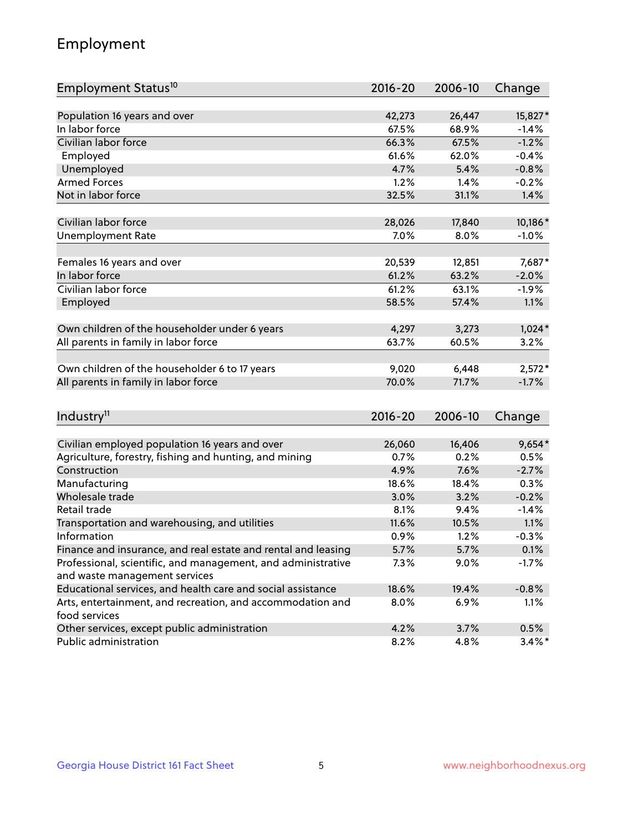## Employment

| Employment Status <sup>10</sup>                               | $2016 - 20$ | 2006-10 | Change    |
|---------------------------------------------------------------|-------------|---------|-----------|
|                                                               |             |         |           |
| Population 16 years and over                                  | 42,273      | 26,447  | 15,827*   |
| In labor force                                                | 67.5%       | 68.9%   | $-1.4%$   |
| Civilian labor force                                          | 66.3%       | 67.5%   | $-1.2%$   |
| Employed                                                      | 61.6%       | 62.0%   | $-0.4%$   |
| Unemployed                                                    | 4.7%        | 5.4%    | $-0.8%$   |
| <b>Armed Forces</b>                                           | 1.2%        | 1.4%    | $-0.2%$   |
| Not in labor force                                            | 32.5%       | 31.1%   | 1.4%      |
|                                                               |             |         |           |
| Civilian labor force                                          | 28,026      | 17,840  | 10,186*   |
| <b>Unemployment Rate</b>                                      | 7.0%        | 8.0%    | $-1.0%$   |
| Females 16 years and over                                     | 20,539      | 12,851  | 7,687*    |
| In labor force                                                | 61.2%       | 63.2%   | $-2.0%$   |
| Civilian labor force                                          | 61.2%       | 63.1%   | $-1.9%$   |
| Employed                                                      | 58.5%       | 57.4%   | 1.1%      |
|                                                               |             |         |           |
| Own children of the householder under 6 years                 | 4,297       | 3,273   | $1,024*$  |
| All parents in family in labor force                          | 63.7%       | 60.5%   | 3.2%      |
|                                                               |             |         | $2,572*$  |
| Own children of the householder 6 to 17 years                 | 9,020       | 6,448   |           |
| All parents in family in labor force                          | 70.0%       | 71.7%   | $-1.7%$   |
|                                                               |             |         |           |
| Industry <sup>11</sup>                                        | $2016 - 20$ | 2006-10 | Change    |
| Civilian employed population 16 years and over                | 26,060      | 16,406  | $9,654*$  |
| Agriculture, forestry, fishing and hunting, and mining        | 0.7%        | 0.2%    | 0.5%      |
| Construction                                                  | 4.9%        | 7.6%    | $-2.7%$   |
| Manufacturing                                                 | 18.6%       | 18.4%   | 0.3%      |
| Wholesale trade                                               | 3.0%        | 3.2%    | $-0.2%$   |
| Retail trade                                                  | 8.1%        | 9.4%    | $-1.4%$   |
| Transportation and warehousing, and utilities                 | 11.6%       | 10.5%   | 1.1%      |
| Information                                                   | 0.9%        | 1.2%    | $-0.3%$   |
| Finance and insurance, and real estate and rental and leasing | 5.7%        | 5.7%    | 0.1%      |
| Professional, scientific, and management, and administrative  | 7.3%        | $9.0\%$ | $-1.7%$   |
| and waste management services                                 |             |         |           |
| Educational services, and health care and social assistance   | 18.6%       | 19.4%   | $-0.8%$   |
| Arts, entertainment, and recreation, and accommodation and    | 8.0%        | 6.9%    | 1.1%      |
| food services                                                 |             |         |           |
| Other services, except public administration                  | 4.2%        | 3.7%    | 0.5%      |
| Public administration                                         | 8.2%        | 4.8%    | $3.4\%$ * |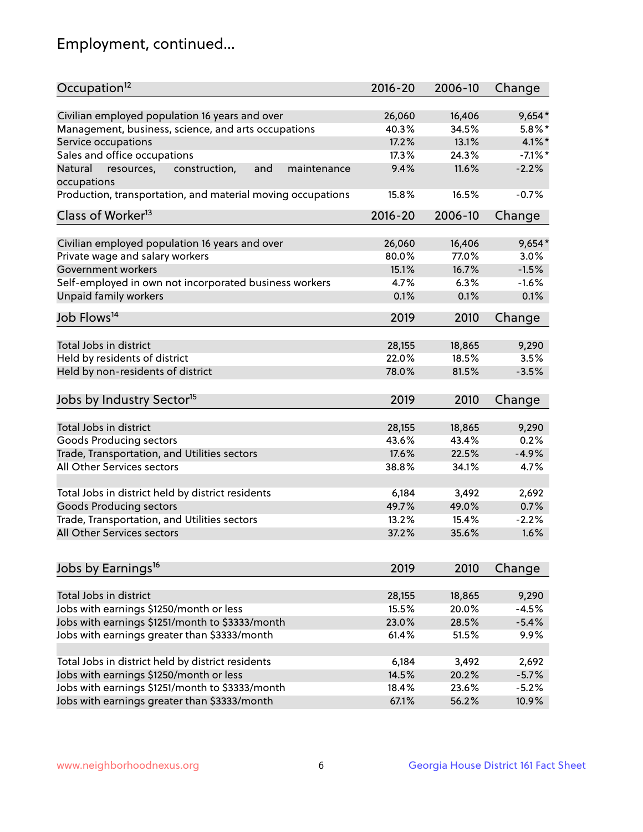## Employment, continued...

| Occupation <sup>12</sup>                                     | $2016 - 20$ | 2006-10 | Change     |
|--------------------------------------------------------------|-------------|---------|------------|
| Civilian employed population 16 years and over               | 26,060      | 16,406  | $9,654*$   |
| Management, business, science, and arts occupations          | 40.3%       | 34.5%   | $5.8\%$ *  |
| Service occupations                                          | 17.2%       | 13.1%   | $4.1\%$ *  |
| Sales and office occupations                                 | 17.3%       | 24.3%   | $-7.1\%$ * |
| Natural<br>and<br>maintenance<br>resources,<br>construction, | 9.4%        | 11.6%   | $-2.2%$    |
| occupations                                                  |             |         |            |
| Production, transportation, and material moving occupations  | 15.8%       | 16.5%   | $-0.7%$    |
| Class of Worker <sup>13</sup>                                | $2016 - 20$ | 2006-10 | Change     |
|                                                              |             |         |            |
| Civilian employed population 16 years and over               | 26,060      | 16,406  | $9,654*$   |
| Private wage and salary workers                              | 80.0%       | 77.0%   | 3.0%       |
| Government workers                                           | 15.1%       | 16.7%   | $-1.5%$    |
| Self-employed in own not incorporated business workers       | 4.7%        | 6.3%    | $-1.6%$    |
| Unpaid family workers                                        | 0.1%        | 0.1%    | 0.1%       |
| Job Flows <sup>14</sup>                                      | 2019        | 2010    | Change     |
|                                                              |             |         |            |
| Total Jobs in district                                       | 28,155      | 18,865  | 9,290      |
| Held by residents of district                                | 22.0%       | 18.5%   | 3.5%       |
| Held by non-residents of district                            | 78.0%       | 81.5%   | $-3.5%$    |
| Jobs by Industry Sector <sup>15</sup>                        | 2019        | 2010    | Change     |
|                                                              |             |         |            |
| Total Jobs in district                                       | 28,155      | 18,865  | 9,290      |
| Goods Producing sectors                                      | 43.6%       | 43.4%   | 0.2%       |
| Trade, Transportation, and Utilities sectors                 | 17.6%       | 22.5%   | $-4.9%$    |
| All Other Services sectors                                   | 38.8%       | 34.1%   | 4.7%       |
| Total Jobs in district held by district residents            | 6,184       | 3,492   | 2,692      |
|                                                              |             |         |            |
| <b>Goods Producing sectors</b>                               | 49.7%       | 49.0%   | 0.7%       |
| Trade, Transportation, and Utilities sectors                 | 13.2%       | 15.4%   | $-2.2%$    |
| All Other Services sectors                                   | 37.2%       | 35.6%   | 1.6%       |
| Jobs by Earnings <sup>16</sup>                               | 2019        | 2010    | Change     |
|                                                              |             |         |            |
| Total Jobs in district                                       | 28,155      | 18,865  | 9,290      |
| Jobs with earnings \$1250/month or less                      | 15.5%       | 20.0%   | $-4.5%$    |
| Jobs with earnings \$1251/month to \$3333/month              | 23.0%       | 28.5%   | $-5.4%$    |
| Jobs with earnings greater than \$3333/month                 | 61.4%       | 51.5%   | 9.9%       |
|                                                              |             |         |            |
| Total Jobs in district held by district residents            | 6,184       | 3,492   | 2,692      |
| Jobs with earnings \$1250/month or less                      | 14.5%       | 20.2%   | $-5.7%$    |
| Jobs with earnings \$1251/month to \$3333/month              | 18.4%       | 23.6%   | $-5.2%$    |
| Jobs with earnings greater than \$3333/month                 | 67.1%       | 56.2%   | 10.9%      |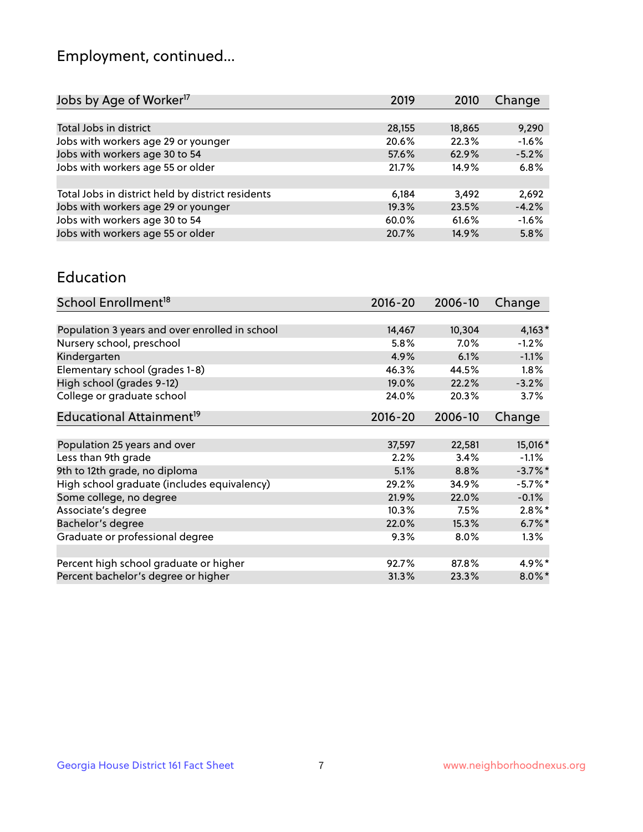## Employment, continued...

| Jobs by Age of Worker <sup>17</sup>               | 2019   | 2010   | Change  |
|---------------------------------------------------|--------|--------|---------|
|                                                   |        |        |         |
| Total Jobs in district                            | 28,155 | 18,865 | 9,290   |
| Jobs with workers age 29 or younger               | 20.6%  | 22.3%  | $-1.6%$ |
| Jobs with workers age 30 to 54                    | 57.6%  | 62.9%  | $-5.2%$ |
| Jobs with workers age 55 or older                 | 21.7%  | 14.9%  | 6.8%    |
|                                                   |        |        |         |
| Total Jobs in district held by district residents | 6,184  | 3,492  | 2,692   |
| Jobs with workers age 29 or younger               | 19.3%  | 23.5%  | $-4.2%$ |
| Jobs with workers age 30 to 54                    | 60.0%  | 61.6%  | $-1.6%$ |
| Jobs with workers age 55 or older                 | 20.7%  | 14.9%  | 5.8%    |

#### Education

| School Enrollment <sup>18</sup>                | $2016 - 20$ | 2006-10 | Change     |
|------------------------------------------------|-------------|---------|------------|
|                                                |             |         |            |
| Population 3 years and over enrolled in school | 14,467      | 10,304  | $4,163*$   |
| Nursery school, preschool                      | 5.8%        | $7.0\%$ | $-1.2%$    |
| Kindergarten                                   | 4.9%        | 6.1%    | $-1.1%$    |
| Elementary school (grades 1-8)                 | 46.3%       | 44.5%   | 1.8%       |
| High school (grades 9-12)                      | 19.0%       | 22.2%   | $-3.2%$    |
| College or graduate school                     | 24.0%       | 20.3%   | 3.7%       |
| Educational Attainment <sup>19</sup>           | $2016 - 20$ | 2006-10 | Change     |
|                                                |             |         |            |
| Population 25 years and over                   | 37,597      | 22,581  | 15,016*    |
| Less than 9th grade                            | 2.2%        | 3.4%    | $-1.1\%$   |
| 9th to 12th grade, no diploma                  | 5.1%        | 8.8%    | $-3.7\%$ * |
| High school graduate (includes equivalency)    | 29.2%       | 34.9%   | $-5.7%$ *  |
| Some college, no degree                        | 21.9%       | 22.0%   | $-0.1%$    |
| Associate's degree                             | 10.3%       | 7.5%    | $2.8\%$ *  |
| Bachelor's degree                              | 22.0%       | 15.3%   | $6.7\%$ *  |
| Graduate or professional degree                | 9.3%        | 8.0%    | $1.3\%$    |
|                                                |             |         |            |
| Percent high school graduate or higher         | 92.7%       | 87.8%   | 4.9%*      |
| Percent bachelor's degree or higher            | 31.3%       | 23.3%   | $8.0\%$ *  |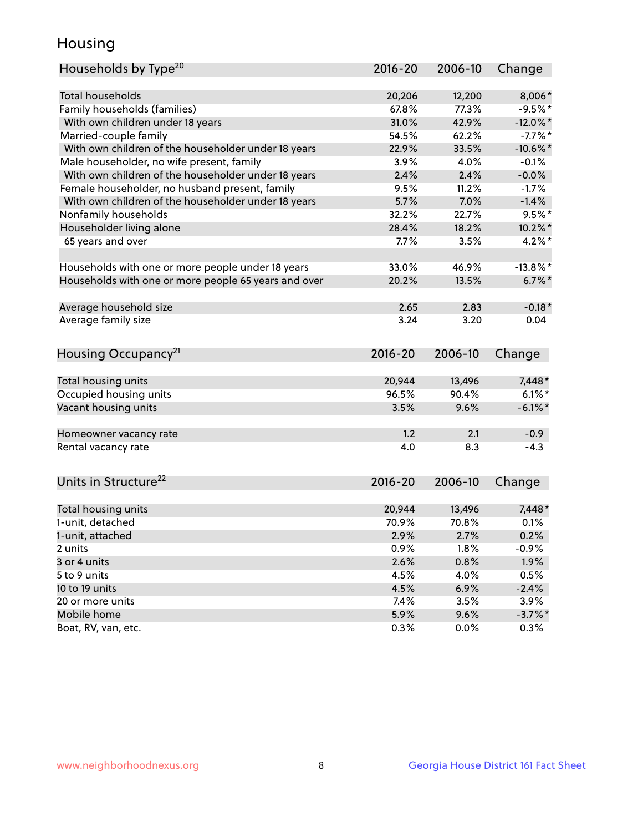## Housing

| Households by Type <sup>20</sup>                     | 2016-20     | 2006-10 | Change      |
|------------------------------------------------------|-------------|---------|-------------|
|                                                      |             |         |             |
| <b>Total households</b>                              | 20,206      | 12,200  | 8,006*      |
| Family households (families)                         | 67.8%       | 77.3%   | $-9.5%$ *   |
| With own children under 18 years                     | 31.0%       | 42.9%   | $-12.0\%$ * |
| Married-couple family                                | 54.5%       | 62.2%   | $-7.7\%$ *  |
| With own children of the householder under 18 years  | 22.9%       | 33.5%   | $-10.6%$ *  |
| Male householder, no wife present, family            | 3.9%        | 4.0%    | $-0.1%$     |
| With own children of the householder under 18 years  | 2.4%        | 2.4%    | $-0.0%$     |
| Female householder, no husband present, family       | 9.5%        | 11.2%   | $-1.7%$     |
| With own children of the householder under 18 years  | 5.7%        | 7.0%    | $-1.4%$     |
| Nonfamily households                                 | 32.2%       | 22.7%   | $9.5%$ *    |
| Householder living alone                             | 28.4%       | 18.2%   | $10.2\%$ *  |
| 65 years and over                                    | 7.7%        | 3.5%    | $4.2\%$ *   |
| Households with one or more people under 18 years    | 33.0%       | 46.9%   | $-13.8\%$ * |
| Households with one or more people 65 years and over | 20.2%       | 13.5%   | $6.7\%$ *   |
| Average household size                               | 2.65        | 2.83    | $-0.18*$    |
| Average family size                                  | 3.24        | 3.20    | 0.04        |
|                                                      |             |         |             |
| Housing Occupancy <sup>21</sup>                      | $2016 - 20$ | 2006-10 | Change      |
| Total housing units                                  | 20,944      | 13,496  | 7,448*      |
| Occupied housing units                               | 96.5%       | 90.4%   | $6.1\%$ *   |
| Vacant housing units                                 | 3.5%        | 9.6%    | $-6.1\%$ *  |
|                                                      |             |         |             |
| Homeowner vacancy rate                               | 1.2         | 2.1     | $-0.9$      |
| Rental vacancy rate                                  | 4.0         | 8.3     | $-4.3$      |
| Units in Structure <sup>22</sup>                     | 2016-20     | 2006-10 | Change      |
| Total housing units                                  | 20,944      | 13,496  | $7,448*$    |
| 1-unit, detached                                     | 70.9%       | 70.8%   | 0.1%        |
| 1-unit, attached                                     | 2.9%        | 2.7%    | 0.2%        |
| 2 units                                              | 0.9%        | 1.8%    | $-0.9%$     |
| 3 or 4 units                                         | 2.6%        | 0.8%    | 1.9%        |
| 5 to 9 units                                         | 4.5%        | 4.0%    | 0.5%        |
|                                                      |             |         |             |
| 10 to 19 units<br>20 or more units                   | 4.5%        | 6.9%    | $-2.4%$     |
|                                                      | 7.4%        | 3.5%    | 3.9%        |
| Mobile home                                          | 5.9%        | 9.6%    | $-3.7\%$ *  |
| Boat, RV, van, etc.                                  | 0.3%        | $0.0\%$ | 0.3%        |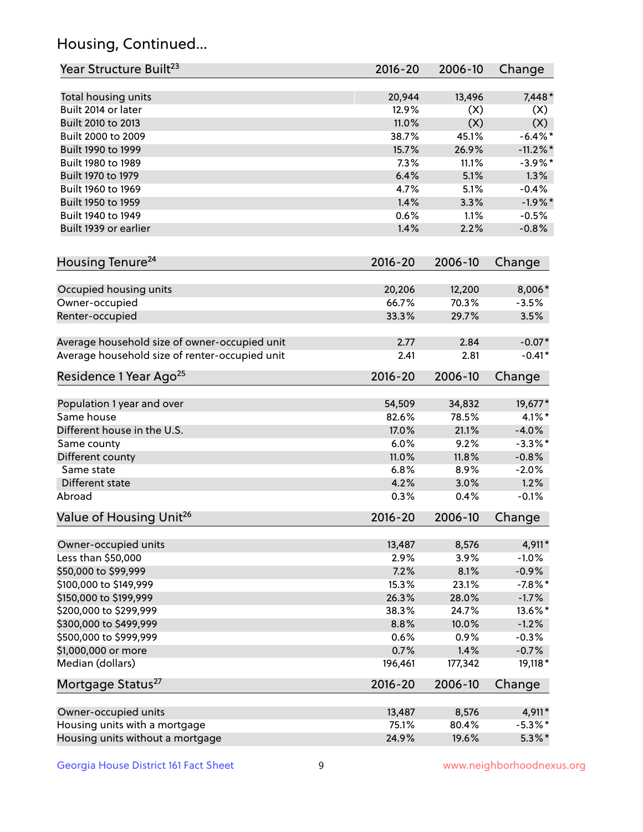## Housing, Continued...

| Year Structure Built <sup>23</sup>             | 2016-20     | 2006-10 | Change     |
|------------------------------------------------|-------------|---------|------------|
| Total housing units                            | 20,944      | 13,496  | 7,448*     |
| Built 2014 or later                            | 12.9%       | (X)     | (X)        |
| Built 2010 to 2013                             | 11.0%       | (X)     | (X)        |
| Built 2000 to 2009                             | 38.7%       | 45.1%   | $-6.4\%$ * |
| Built 1990 to 1999                             | 15.7%       | 26.9%   | $-11.2%$   |
| Built 1980 to 1989                             | 7.3%        | 11.1%   | $-3.9\%$ * |
| Built 1970 to 1979                             | 6.4%        | 5.1%    | 1.3%       |
| Built 1960 to 1969                             | 4.7%        | 5.1%    | $-0.4%$    |
| Built 1950 to 1959                             | 1.4%        | 3.3%    | $-1.9%$ *  |
| Built 1940 to 1949                             | 0.6%        | 1.1%    | $-0.5%$    |
| Built 1939 or earlier                          | 1.4%        | 2.2%    | $-0.8%$    |
| Housing Tenure <sup>24</sup>                   | $2016 - 20$ | 2006-10 | Change     |
|                                                |             |         |            |
| Occupied housing units                         | 20,206      | 12,200  | 8,006*     |
| Owner-occupied                                 | 66.7%       | 70.3%   | $-3.5%$    |
| Renter-occupied                                | 33.3%       | 29.7%   | 3.5%       |
| Average household size of owner-occupied unit  | 2.77        | 2.84    | $-0.07*$   |
| Average household size of renter-occupied unit | 2.41        | 2.81    | $-0.41*$   |
| Residence 1 Year Ago <sup>25</sup>             | $2016 - 20$ | 2006-10 | Change     |
| Population 1 year and over                     | 54,509      | 34,832  | 19,677*    |
| Same house                                     | 82.6%       | 78.5%   | $4.1\%$ *  |
| Different house in the U.S.                    | 17.0%       | 21.1%   | $-4.0%$    |
| Same county                                    | 6.0%        | 9.2%    | $-3.3\%$ * |
| Different county                               | 11.0%       | 11.8%   | $-0.8%$    |
| Same state                                     | 6.8%        | 8.9%    | $-2.0%$    |
| Different state                                | 4.2%        | 3.0%    | 1.2%       |
| Abroad                                         | 0.3%        | 0.4%    | $-0.1%$    |
| Value of Housing Unit <sup>26</sup>            | 2016-20     | 2006-10 | Change     |
|                                                |             |         |            |
| Owner-occupied units                           | 13,487      | 8,576   | 4,911*     |
| Less than \$50,000                             | 2.9%        | 3.9%    | $-1.0%$    |
| \$50,000 to \$99,999                           | 7.2%        | 8.1%    | $-0.9%$    |
| \$100,000 to \$149,999                         | 15.3%       | 23.1%   | $-7.8%$ *  |
| \$150,000 to \$199,999                         | 26.3%       | 28.0%   | $-1.7%$    |
| \$200,000 to \$299,999                         | 38.3%       | 24.7%   | 13.6%*     |
| \$300,000 to \$499,999                         | 8.8%        | 10.0%   | $-1.2%$    |
| \$500,000 to \$999,999                         | 0.6%        | 0.9%    | $-0.3%$    |
| \$1,000,000 or more                            | 0.7%        | 1.4%    | $-0.7%$    |
| Median (dollars)                               | 196,461     | 177,342 | 19,118*    |
| Mortgage Status <sup>27</sup>                  | $2016 - 20$ | 2006-10 | Change     |
| Owner-occupied units                           | 13,487      | 8,576   | 4,911*     |
| Housing units with a mortgage                  | 75.1%       | 80.4%   | $-5.3\%$ * |
| Housing units without a mortgage               | 24.9%       | 19.6%   | $5.3\%$ *  |
|                                                |             |         |            |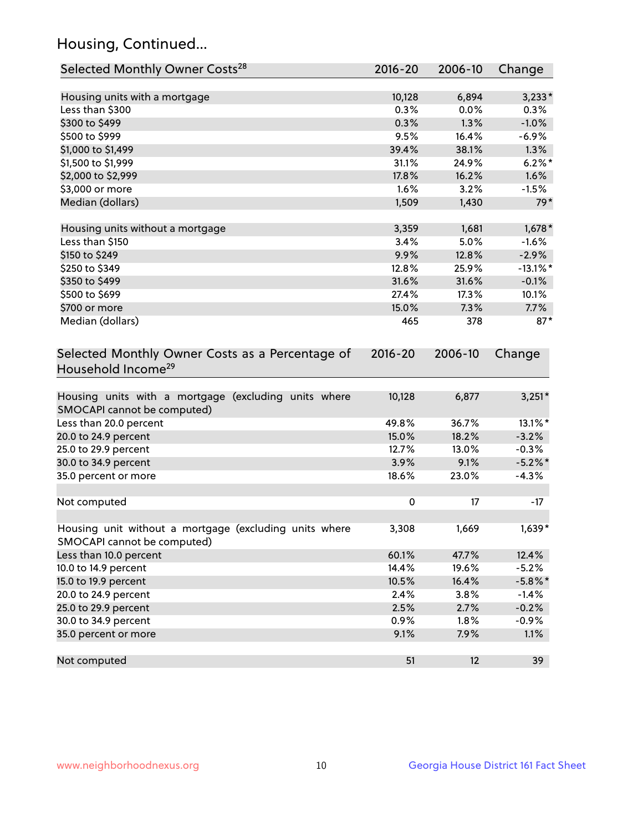## Housing, Continued...

| Selected Monthly Owner Costs <sup>28</sup>                                            | 2016-20     | 2006-10 | Change      |
|---------------------------------------------------------------------------------------|-------------|---------|-------------|
| Housing units with a mortgage                                                         | 10,128      | 6,894   | $3,233*$    |
| Less than \$300                                                                       | 0.3%        | 0.0%    | 0.3%        |
| \$300 to \$499                                                                        | 0.3%        | 1.3%    | $-1.0%$     |
| \$500 to \$999                                                                        | 9.5%        | 16.4%   | $-6.9\%$    |
| \$1,000 to \$1,499                                                                    | 39.4%       | 38.1%   | 1.3%        |
| \$1,500 to \$1,999                                                                    | 31.1%       | 24.9%   | $6.2\%$ *   |
| \$2,000 to \$2,999                                                                    | 17.8%       | 16.2%   | 1.6%        |
| \$3,000 or more                                                                       | 1.6%        | 3.2%    | $-1.5%$     |
| Median (dollars)                                                                      | 1,509       | 1,430   | $79*$       |
| Housing units without a mortgage                                                      | 3,359       | 1,681   | $1,678*$    |
| Less than \$150                                                                       | 3.4%        | 5.0%    | $-1.6%$     |
| \$150 to \$249                                                                        | 9.9%        | 12.8%   | $-2.9%$     |
| \$250 to \$349                                                                        | 12.8%       | 25.9%   | $-13.1\%$ * |
| \$350 to \$499                                                                        | 31.6%       | 31.6%   | $-0.1%$     |
| \$500 to \$699                                                                        | 27.4%       | 17.3%   | 10.1%       |
| \$700 or more                                                                         | 15.0%       | 7.3%    | 7.7%        |
| Median (dollars)                                                                      | 465         | 378     | $87*$       |
| Selected Monthly Owner Costs as a Percentage of<br>Household Income <sup>29</sup>     | $2016 - 20$ | 2006-10 | Change      |
| Housing units with a mortgage (excluding units where<br>SMOCAPI cannot be computed)   | 10,128      | 6,877   | $3,251*$    |
| Less than 20.0 percent                                                                | 49.8%       | 36.7%   | 13.1%*      |
| 20.0 to 24.9 percent                                                                  | 15.0%       | 18.2%   | $-3.2%$     |
| 25.0 to 29.9 percent                                                                  | 12.7%       | 13.0%   | $-0.3%$     |
| 30.0 to 34.9 percent                                                                  | 3.9%        | 9.1%    | $-5.2\%$ *  |
| 35.0 percent or more                                                                  | 18.6%       | 23.0%   | $-4.3%$     |
| Not computed                                                                          | $\pmb{0}$   | 17      | $-17$       |
| Housing unit without a mortgage (excluding units where<br>SMOCAPI cannot be computed) | 3,308       | 1,669   | 1,639*      |
| Less than 10.0 percent                                                                | 60.1%       | 47.7%   | 12.4%       |
| 10.0 to 14.9 percent                                                                  | 14.4%       | 19.6%   | $-5.2%$     |
| 15.0 to 19.9 percent                                                                  | 10.5%       | 16.4%   | $-5.8\%$ *  |
| 20.0 to 24.9 percent                                                                  | 2.4%        | 3.8%    | $-1.4%$     |
| 25.0 to 29.9 percent                                                                  | 2.5%        | 2.7%    | $-0.2%$     |
| 30.0 to 34.9 percent                                                                  | 0.9%        | 1.8%    | $-0.9%$     |
| 35.0 percent or more                                                                  | 9.1%        | 7.9%    | 1.1%        |
| Not computed                                                                          | 51          | 12      | 39          |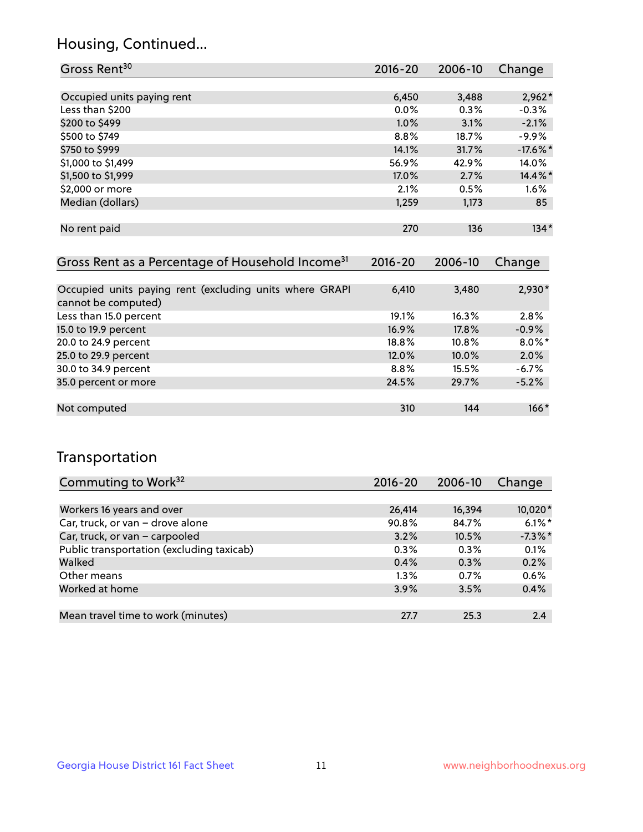## Housing, Continued...

| Gross Rent <sup>30</sup>                                                       | $2016 - 20$ | $2006 - 10$ | Change      |
|--------------------------------------------------------------------------------|-------------|-------------|-------------|
|                                                                                |             |             |             |
| Occupied units paying rent                                                     | 6,450       | 3,488       | $2,962*$    |
| Less than \$200                                                                | 0.0%        | 0.3%        | $-0.3%$     |
| \$200 to \$499                                                                 | 1.0%        | 3.1%        | $-2.1%$     |
| \$500 to \$749                                                                 | 8.8%        | 18.7%       | $-9.9%$     |
| \$750 to \$999                                                                 | 14.1%       | 31.7%       | $-17.6\%$ * |
| \$1,000 to \$1,499                                                             | 56.9%       | 42.9%       | 14.0%       |
| \$1,500 to \$1,999                                                             | 17.0%       | 2.7%        | 14.4%*      |
| \$2,000 or more                                                                | 2.1%        | 0.5%        | 1.6%        |
| Median (dollars)                                                               | 1,259       | 1,173       | 85          |
|                                                                                |             |             |             |
| No rent paid                                                                   | 270         | 136         | $134*$      |
|                                                                                |             |             |             |
| Gross Rent as a Percentage of Household Income <sup>31</sup>                   | $2016 - 20$ | 2006-10     | Change      |
|                                                                                |             |             |             |
| Occupied units paying rent (excluding units where GRAPI<br>cannot be computed) | 6,410       | 3,480       | 2,930*      |
| Less than 15.0 percent                                                         | 19.1%       | 16.3%       | 2.8%        |
| 15.0 to 19.9 percent                                                           | 16.9%       | 17.8%       | $-0.9%$     |
| 20.0 to 24.9 percent                                                           | 18.8%       | $10.8\%$    | $8.0\%$ *   |
| 25.0 to 29.9 percent                                                           | 12.0%       | 10.0%       | 2.0%        |
| 30.0 to 34.9 percent                                                           | 8.8%        | 15.5%       | -6.7%       |
|                                                                                |             |             |             |

| Occupied units paying rent (excluding units where GRAPI<br>cannot be computed) | 6,410   | 3,480 | $2,930*$  |
|--------------------------------------------------------------------------------|---------|-------|-----------|
| Less than 15.0 percent                                                         | 19.1%   | 16.3% | 2.8%      |
| 15.0 to 19.9 percent                                                           | 16.9%   | 17.8% | $-0.9%$   |
| 20.0 to 24.9 percent                                                           | 18.8%   | 10.8% | $8.0\%$ * |
| 25.0 to 29.9 percent                                                           | 12.0%   | 10.0% | 2.0%      |
| 30.0 to 34.9 percent                                                           | $8.8\%$ | 15.5% | $-6.7%$   |
| 35.0 percent or more                                                           | 24.5%   | 29.7% | $-5.2%$   |
|                                                                                |         |       |           |
| Not computed                                                                   | 310     | 144   | $166*$    |

## Transportation

| Commuting to Work <sup>32</sup>           | 2016-20 | 2006-10 | Change     |
|-------------------------------------------|---------|---------|------------|
|                                           |         |         |            |
| Workers 16 years and over                 | 26,414  | 16,394  | 10,020*    |
| Car, truck, or van - drove alone          | 90.8%   | 84.7%   | $6.1\%$ *  |
| Car, truck, or van - carpooled            | 3.2%    | 10.5%   | $-7.3\%$ * |
| Public transportation (excluding taxicab) | 0.3%    | 0.3%    | 0.1%       |
| Walked                                    | 0.4%    | 0.3%    | 0.2%       |
| Other means                               | $1.3\%$ | 0.7%    | 0.6%       |
| Worked at home                            | 3.9%    | 3.5%    | 0.4%       |
|                                           |         |         |            |
| Mean travel time to work (minutes)        | 27.7    | 25.3    | 2.4        |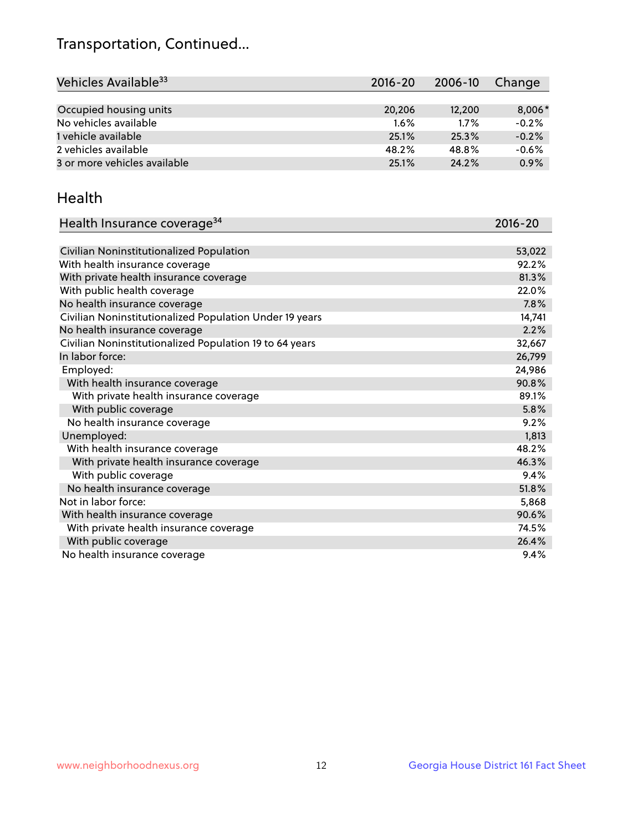## Transportation, Continued...

| Vehicles Available <sup>33</sup> | $2016 - 20$ | 2006-10 | Change  |
|----------------------------------|-------------|---------|---------|
|                                  |             |         |         |
| Occupied housing units           | 20,206      | 12,200  | 8,006*  |
| No vehicles available            | $1.6\%$     | $1.7\%$ | $-0.2%$ |
| 1 vehicle available              | 25.1%       | 25.3%   | $-0.2%$ |
| 2 vehicles available             | 48.2%       | 48.8%   | $-0.6%$ |
| 3 or more vehicles available     | 25.1%       | 24.2%   | 0.9%    |

#### Health

| Health Insurance coverage <sup>34</sup>                 | 2016-20 |
|---------------------------------------------------------|---------|
|                                                         |         |
| Civilian Noninstitutionalized Population                | 53,022  |
| With health insurance coverage                          | 92.2%   |
| With private health insurance coverage                  | 81.3%   |
| With public health coverage                             | 22.0%   |
| No health insurance coverage                            | 7.8%    |
| Civilian Noninstitutionalized Population Under 19 years | 14,741  |
| No health insurance coverage                            | 2.2%    |
| Civilian Noninstitutionalized Population 19 to 64 years | 32,667  |
| In labor force:                                         | 26,799  |
| Employed:                                               | 24,986  |
| With health insurance coverage                          | 90.8%   |
| With private health insurance coverage                  | 89.1%   |
| With public coverage                                    | 5.8%    |
| No health insurance coverage                            | 9.2%    |
| Unemployed:                                             | 1,813   |
| With health insurance coverage                          | 48.2%   |
| With private health insurance coverage                  | 46.3%   |
| With public coverage                                    | 9.4%    |
| No health insurance coverage                            | 51.8%   |
| Not in labor force:                                     | 5,868   |
| With health insurance coverage                          | 90.6%   |
| With private health insurance coverage                  | 74.5%   |
| With public coverage                                    | 26.4%   |
| No health insurance coverage                            | 9.4%    |